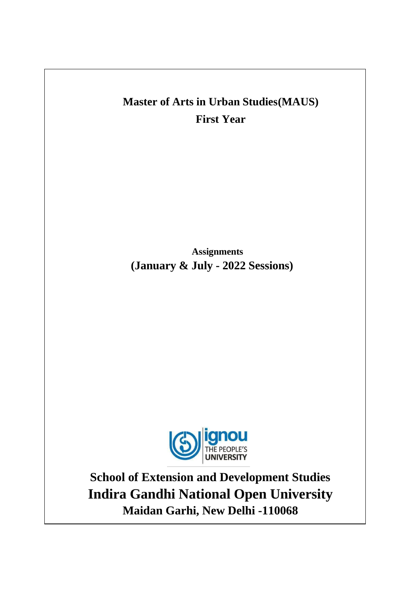# **Master of Arts in Urban Studies(MAUS) First Year**

**Assignments (January & July - 2022 Sessions)**



**School of Extension and Development Studies Indira Gandhi National Open University Maidan Garhi, New Delhi -110068**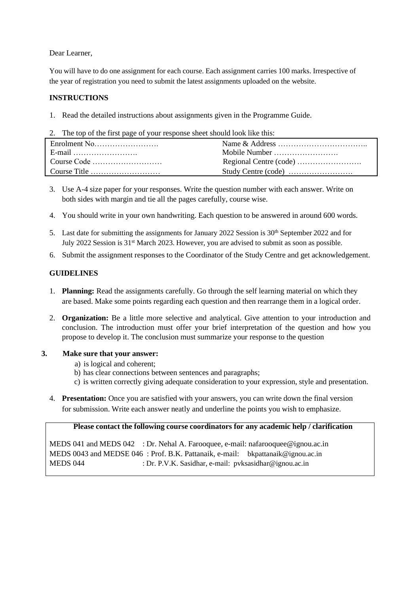Dear Learner,

You will have to do one assignment for each course. Each assignment carries 100 marks. Irrespective of the year of registration you need to submit the latest assignments uploaded on the website.

### **INSTRUCTIONS**

- 1. Read the detailed instructions about assignments given in the Programme Guide.
- 2. The top of the first page of your response sheet should look like this:

| E-mail |  |
|--------|--|
|        |  |
|        |  |

- 3. Use A-4 size paper for your responses. Write the question number with each answer. Write on both sides with margin and tie all the pages carefully, course wise.
- 4. You should write in your own handwriting. Each question to be answered in around 600 words.
- 5. Last date for submitting the assignments for January 2022 Session is 30<sup>th</sup> September 2022 and for July 2022 Session is 31st March 2023. However, you are advised to submit as soon as possible.
- 6. Submit the assignment responses to the Coordinator of the Study Centre and get acknowledgement.

### **GUIDELINES**

- 1. **Planning:** Read the assignments carefully. Go through the self learning material on which they are based. Make some points regarding each question and then rearrange them in a logical order.
- 2. **Organization:** Be a little more selective and analytical. Give attention to your introduction and conclusion. The introduction must offer your brief interpretation of the question and how you propose to develop it. The conclusion must summarize your response to the question
- **3. Make sure that your answer:**
	- a) is logical and coherent;
	- b) has clear connections between sentences and paragraphs;
	- c) is written correctly giving adequate consideration to your expression, style and presentation.
	- 4. **Presentation:** Once you are satisfied with your answers, you can write down the final version for submission. Write each answer neatly and underline the points you wish to emphasize.

#### **Please contact the following course coordinators for any academic help / clarification**

MEDS 041 and MEDS 042 : Dr. Nehal A. Farooquee, e-mail: [nafarooquee@ignou.ac.in](mailto:nafarooquee@ignou.ac.in) MEDS 0043 and MEDSE 046 : Prof. B.K. Pattanaik, e-mail: [bkpattanaik@ignou.ac.in](mailto:bkpattanaik@ignou.ac.in) MEDS 044 : Dr. P.V.K. Sasidhar, e-mail: [pvksasidhar@ignou.ac.in](mailto:pvksasidhar@ignou.ac.in)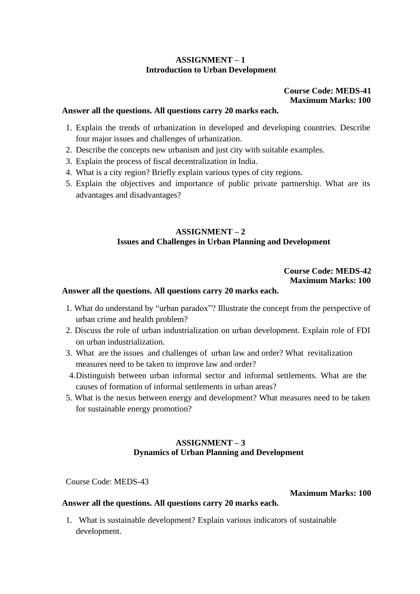# **ASSIGNMENT – 1 Introduction to Urban Development**

### **Course Code: MEDS-41 Maximum Marks: 100**

### **Answer all the questions. All questions carry 20 marks each.**

- 1. Explain the trends of urbanization in developed and developing countries. Describe four major issues and challenges of urbanization.
- 2. Describe the concepts new urbanism and just city with suitable examples.
- 3. Explain the process of fiscal decentralization in India.
- 4. What is a city region? Briefly explain various types of city regions.
- 5. Explain the objectives and importance of public private partnership. What are its advantages and disadvantages?

# **ASSIGNMENT – 2 Issues and Challenges in Urban Planning and Development**

# **Course Code: MEDS-42 Maximum Marks: 100**

### **Answer all the questions. All questions carry 20 marks each.**

- 1. What do understand by "urban paradox"? Illustrate the concept from the perspective of urban crime and health problem?
- 2. Discuss the role of urban industrialization on urban development. Explain role of FDI on urban industrialization.
- 3. What are the issues and challenges of urban law and order? What revitalization measures need to be taken to improve law and order?
- 4.Distinguish between urban informal sector and informal settlements. What are the causes of formation of informal settlements in urban areas?
- 5. What is the nexus between energy and development? What measures need to be taken for sustainable energy promotion?

# **ASSIGNMENT – 3 Dynamics of Urban Planning and Development**

Course Code: MEDS-43

### **Maximum Marks: 100**

### **Answer all the questions. All questions carry 20 marks each.**

1. What is sustainable development? Explain various indicators of sustainable development.